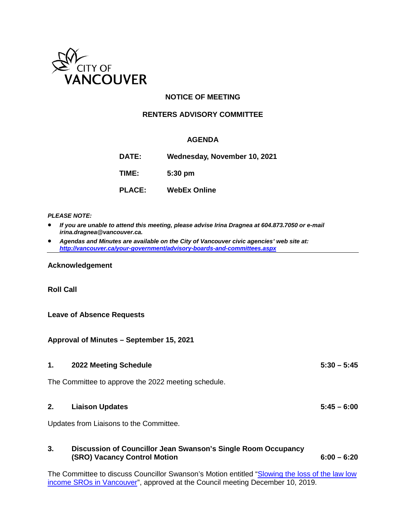

# **NOTICE OF MEETING**

### **RENTERS ADVISORY COMMITTEE**

#### **AGENDA**

**DATE: Wednesday, November 10, 2021 TIME: 5:30 pm PLACE: WebEx Online**

#### *PLEASE NOTE:*

- *If you are unable to attend this meeting, please advise Irina Dragnea at 604.873.7050 or e-mail irina.dragnea@vancouver.ca.*
- *Agendas and Minutes are available on the City of Vancouver civic agencies' web site at: <http://vancouver.ca/your-government/advisory-boards-and-committees.aspx>*

#### **Acknowledgement**

#### **Roll Call**

#### **Leave of Absence Requests**

#### **Approval of Minutes – September 15, 2021**

**1. 2022 Meeting Schedule 5:30 – 5:45**

The Committee to approve the 2022 meeting schedule.

#### **2. Liaison Updates 5:45 – 6:00**

Updates from Liaisons to the Committee.

#### **3. Discussion of Councillor Jean Swanson's Single Room Occupancy (SRO) Vacancy Control Motion 6:00 – 6:20**

The Committee to discuss Councillor Swanson's Motion entitled ["Slowing the loss of the law low](https://council.vancouver.ca/20191210/documents/b2.pdf)  [income SROs in Vancouver"](https://council.vancouver.ca/20191210/documents/b2.pdf), approved at the Council meeting December 10, 2019.